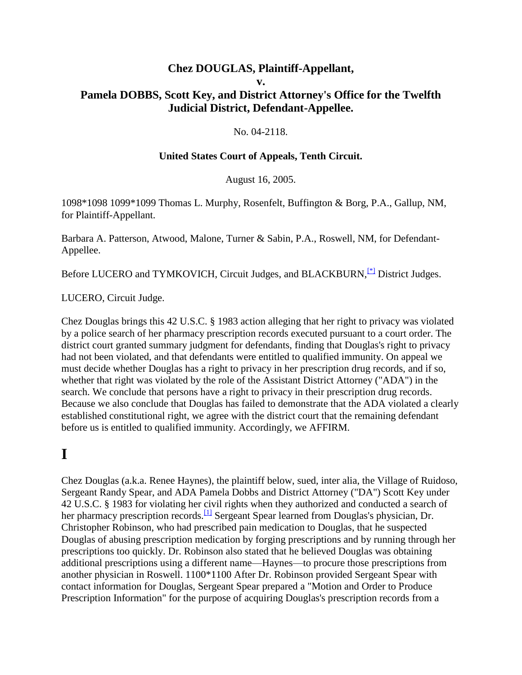#### **Chez DOUGLAS, Plaintiff-Appellant, v. Pamela DOBBS, Scott Key, and District Attorney's Office for the Twelfth Judicial District, Defendant-Appellee.**

#### No. 04-2118.

#### **United States Court of Appeals, Tenth Circuit.**

August 16, 2005.

1098\*1098 1099\*1099 Thomas L. Murphy, Rosenfelt, Buffington & Borg, P.A., Gallup, NM, for Plaintiff-Appellant.

Barbara A. Patterson, Atwood, Malone, Turner & Sabin, P.A., Roswell, NM, for Defendant-Appellee.

Before LUCERO and TYMKOVICH, Circuit Judges, and BLACKBURN,<sup>[\[\\*\]](http://scholar.google.co.in/scholar_case?q=douglas+v.+dobbs&hl=en&as_sdt=2,5&case=3645778260292785537&scilh=0#[1])</sup> District Judges.

LUCERO, Circuit Judge.

Chez Douglas brings this 42 U.S.C. § 1983 action alleging that her right to privacy was violated by a police search of her pharmacy prescription records executed pursuant to a court order. The district court granted summary judgment for defendants, finding that Douglas's right to privacy had not been violated, and that defendants were entitled to qualified immunity. On appeal we must decide whether Douglas has a right to privacy in her prescription drug records, and if so, whether that right was violated by the role of the Assistant District Attorney ("ADA") in the search. We conclude that persons have a right to privacy in their prescription drug records. Because we also conclude that Douglas has failed to demonstrate that the ADA violated a clearly established constitutional right, we agree with the district court that the remaining defendant before us is entitled to qualified immunity. Accordingly, we AFFIRM.

### **I**

Chez Douglas (a.k.a. Renee Haynes), the plaintiff below, sued, inter alia, the Village of Ruidoso, Sergeant Randy Spear, and ADA Pamela Dobbs and District Attorney ("DA") Scott Key under 42 U.S.C. § 1983 for violating her civil rights when they authorized and conducted a search of her pharmacy prescription records.<sup>[\[1\]](http://scholar.google.co.in/scholar_case?q=douglas+v.+dobbs&hl=en&as_sdt=2,5&case=3645778260292785537&scilh=0#[2])</sup> Sergeant Spear learned from Douglas's physician, Dr. Christopher Robinson, who had prescribed pain medication to Douglas, that he suspected Douglas of abusing prescription medication by forging prescriptions and by running through her prescriptions too quickly. Dr. Robinson also stated that he believed Douglas was obtaining additional prescriptions using a different name—Haynes—to procure those prescriptions from another physician in Roswell. 1100\*1100 After Dr. Robinson provided Sergeant Spear with contact information for Douglas, Sergeant Spear prepared a "Motion and Order to Produce Prescription Information" for the purpose of acquiring Douglas's prescription records from a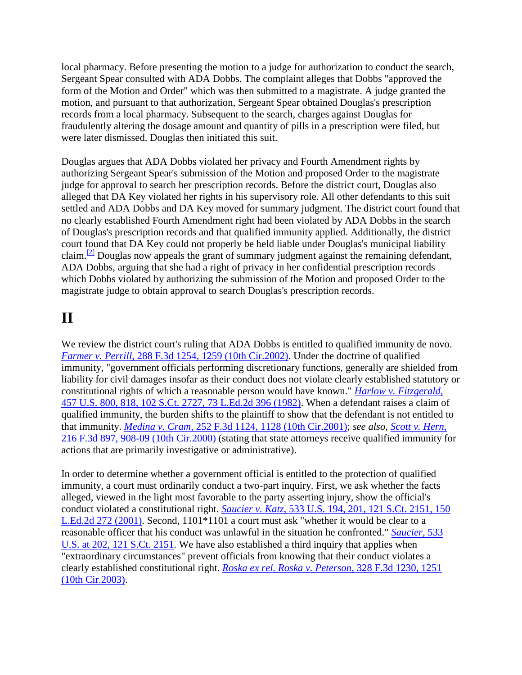local pharmacy. Before presenting the motion to a judge for authorization to conduct the search, Sergeant Spear consulted with ADA Dobbs. The complaint alleges that Dobbs "approved the form of the Motion and Order" which was then submitted to a magistrate. A judge granted the motion, and pursuant to that authorization, Sergeant Spear obtained Douglas's prescription records from a local pharmacy. Subsequent to the search, charges against Douglas for fraudulently altering the dosage amount and quantity of pills in a prescription were filed, but were later dismissed. Douglas then initiated this suit.

Douglas argues that ADA Dobbs violated her privacy and Fourth Amendment rights by authorizing Sergeant Spear's submission of the Motion and proposed Order to the magistrate judge for approval to search her prescription records. Before the district court, Douglas also alleged that DA Key violated her rights in his supervisory role. All other defendants to this suit settled and ADA Dobbs and DA Key moved for summary judgment. The district court found that no clearly established Fourth Amendment right had been violated by ADA Dobbs in the search of Douglas's prescription records and that qualified immunity applied. Additionally, the district court found that DA Key could not properly be held liable under Douglas's municipal liability claim.<sup>[\[2\]](http://scholar.google.co.in/scholar_case?q=douglas+v.+dobbs&hl=en&as_sdt=2,5&case=3645778260292785537&scilh=0#[3])</sup> Douglas now appeals the grant of summary judgment against the remaining defendant, ADA Dobbs, arguing that she had a right of privacy in her confidential prescription records which Dobbs violated by authorizing the submission of the Motion and proposed Order to the magistrate judge to obtain approval to search Douglas's prescription records.

### **II**

We review the district court's ruling that ADA Dobbs is entitled to qualified immunity de novo. *Farmer v. Perrill,* [288 F.3d 1254, 1259 \(10th Cir.2002\).](http://scholar.google.co.in/scholar_case?case=8685683069147518235&q=douglas+v.+dobbs&hl=en&as_sdt=2,5&scilh=0) Under the doctrine of qualified immunity, "government officials performing discretionary functions, generally are shielded from liability for civil damages insofar as their conduct does not violate clearly established statutory or constitutional rights of which a reasonable person would have known." *[Harlow v. Fitzgerald,](http://scholar.google.co.in/scholar_case?case=13486920831186038844&q=douglas+v.+dobbs&hl=en&as_sdt=2,5&scilh=0)* [457 U.S. 800, 818, 102 S.Ct. 2727, 73 L.Ed.2d 396 \(1982\).](http://scholar.google.co.in/scholar_case?case=13486920831186038844&q=douglas+v.+dobbs&hl=en&as_sdt=2,5&scilh=0) When a defendant raises a claim of qualified immunity, the burden shifts to the plaintiff to show that the defendant is not entitled to that immunity. *Medina v. Cram,* [252 F.3d 1124, 1128 \(10th Cir.2001\);](http://scholar.google.co.in/scholar_case?case=7493961995075485115&q=douglas+v.+dobbs&hl=en&as_sdt=2,5&scilh=0) *see also, [Scott v. Hern,](http://scholar.google.co.in/scholar_case?case=4406929610785345505&q=douglas+v.+dobbs&hl=en&as_sdt=2,5&scilh=0)* [216 F.3d 897, 908-09 \(10th Cir.2000\)](http://scholar.google.co.in/scholar_case?case=4406929610785345505&q=douglas+v.+dobbs&hl=en&as_sdt=2,5&scilh=0) (stating that state attorneys receive qualified immunity for actions that are primarily investigative or administrative).

In order to determine whether a government official is entitled to the protection of qualified immunity, a court must ordinarily conduct a two-part inquiry. First, we ask whether the facts alleged, viewed in the light most favorable to the party asserting injury, show the official's conduct violated a constitutional right. *Saucier v. Katz,* [533 U.S. 194, 201, 121 S.Ct. 2151, 150](http://scholar.google.co.in/scholar_case?case=4327618298378646573&q=douglas+v.+dobbs&hl=en&as_sdt=2,5&scilh=0)  [L.Ed.2d 272 \(2001\).](http://scholar.google.co.in/scholar_case?case=4327618298378646573&q=douglas+v.+dobbs&hl=en&as_sdt=2,5&scilh=0) Second, 1101\*1101 a court must ask "whether it would be clear to a reasonable officer that his conduct was unlawful in the situation he confronted." *[Saucier,](http://scholar.google.co.in/scholar_case?case=4327618298378646573&q=douglas+v.+dobbs&hl=en&as_sdt=2,5&scilh=0)* 533 [U.S. at 202, 121 S.Ct. 2151.](http://scholar.google.co.in/scholar_case?case=4327618298378646573&q=douglas+v.+dobbs&hl=en&as_sdt=2,5&scilh=0) We have also established a third inquiry that applies when "extraordinary circumstances" prevent officials from knowing that their conduct violates a clearly established constitutional right. *[Roska ex rel. Roska v. Peterson,](http://scholar.google.co.in/scholar_case?case=12623822822358189231&q=douglas+v.+dobbs&hl=en&as_sdt=2,5&scilh=0)* 328 F.3d 1230, 1251 [\(10th Cir.2003\).](http://scholar.google.co.in/scholar_case?case=12623822822358189231&q=douglas+v.+dobbs&hl=en&as_sdt=2,5&scilh=0)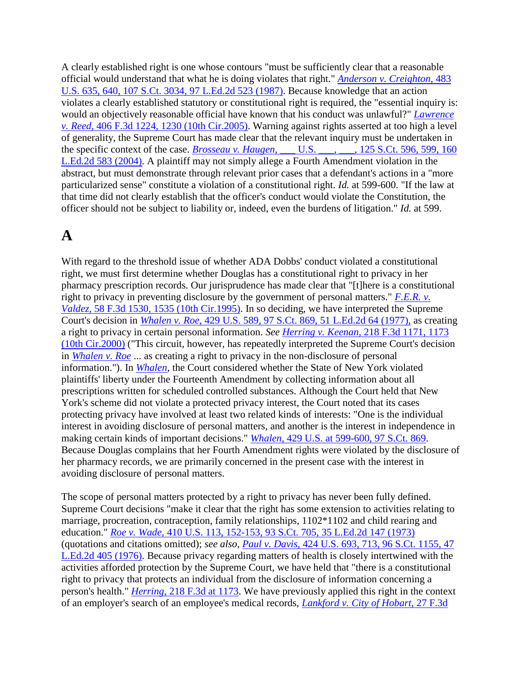A clearly established right is one whose contours "must be sufficiently clear that a reasonable official would understand that what he is doing violates that right." *[Anderson v. Creighton,](http://scholar.google.co.in/scholar_case?case=12881500287411882090&q=douglas+v.+dobbs&hl=en&as_sdt=2,5&scilh=0)* 483 [U.S. 635, 640, 107 S.Ct. 3034, 97 L.Ed.2d 523 \(1987\).](http://scholar.google.co.in/scholar_case?case=12881500287411882090&q=douglas+v.+dobbs&hl=en&as_sdt=2,5&scilh=0) Because knowledge that an action violates a clearly established statutory or constitutional right is required, the "essential inquiry is: would an objectively reasonable official have known that his conduct was unlawful?" *[Lawrence](http://scholar.google.co.in/scholar_case?case=7183572341429932416&q=douglas+v.+dobbs&hl=en&as_sdt=2,5&scilh=0)  v. Reed,* [406 F.3d 1224, 1230 \(10th Cir.2005\).](http://scholar.google.co.in/scholar_case?case=7183572341429932416&q=douglas+v.+dobbs&hl=en&as_sdt=2,5&scilh=0) Warning against rights asserted at too high a level of generality, the Supreme Court has made clear that the relevant inquiry must be undertaken in the specific context of the case. *Brosseau v. Haugen,* [\\_\\_\\_ U.S. \\_\\_\\_, \\_\\_\\_, 125 S.Ct. 596, 599, 160](http://scholar.google.co.in/scholar_case?case=16570362083305858647&q=douglas+v.+dobbs&hl=en&as_sdt=2,5&scilh=0)  [L.Ed.2d 583 \(2004\).](http://scholar.google.co.in/scholar_case?case=16570362083305858647&q=douglas+v.+dobbs&hl=en&as_sdt=2,5&scilh=0) A plaintiff may not simply allege a Fourth Amendment violation in the abstract, but must demonstrate through relevant prior cases that a defendant's actions in a "more particularized sense" constitute a violation of a constitutional right. *Id.* at 599-600. "If the law at that time did not clearly establish that the officer's conduct would violate the Constitution, the officer should not be subject to liability or, indeed, even the burdens of litigation." *Id.* at 599.

## **A**

With regard to the threshold issue of whether ADA Dobbs' conduct violated a constitutional right, we must first determine whether Douglas has a constitutional right to privacy in her pharmacy prescription records. Our jurisprudence has made clear that "[t]here is a constitutional right to privacy in preventing disclosure by the government of personal matters." *[F.E.R. v.](http://scholar.google.co.in/scholar_case?case=3730966289905201575&q=douglas+v.+dobbs&hl=en&as_sdt=2,5&scilh=0)  Valdez,* [58 F.3d 1530, 1535 \(10th Cir.1995\).](http://scholar.google.co.in/scholar_case?case=3730966289905201575&q=douglas+v.+dobbs&hl=en&as_sdt=2,5&scilh=0) In so deciding, we have interpreted the Supreme Court's decision in *Whalen v. Roe,* [429 U.S. 589, 97 S.Ct. 869, 51 L.Ed.2d 64 \(1977\),](http://scholar.google.co.in/scholar_case?case=8555735987895894452&q=douglas+v.+dobbs&hl=en&as_sdt=2,5&scilh=0) as creating a right to privacy in certain personal information. *See Herring v. Keenan,* [218 F.3d 1171, 1173](http://scholar.google.co.in/scholar_case?case=3735631482981241601&q=douglas+v.+dobbs&hl=en&as_sdt=2,5&scilh=0)  [\(10th Cir.2000\)](http://scholar.google.co.in/scholar_case?case=3735631482981241601&q=douglas+v.+dobbs&hl=en&as_sdt=2,5&scilh=0) ("This circuit, however, has repeatedly interpreted the Supreme Court's decision in *[Whalen v. Roe](http://scholar.google.co.in/scholar_case?case=8555735987895894452&q=douglas+v.+dobbs&hl=en&as_sdt=2,5&scilh=0)* ... as creating a right to privacy in the non-disclosure of personal information."). In *[Whalen,](http://scholar.google.co.in/scholar_case?case=8555735987895894452&q=douglas+v.+dobbs&hl=en&as_sdt=2,5&scilh=0)* the Court considered whether the State of New York violated plaintiffs' liberty under the Fourteenth Amendment by collecting information about all prescriptions written for scheduled controlled substances. Although the Court held that New York's scheme did not violate a protected privacy interest, the Court noted that its cases protecting privacy have involved at least two related kinds of interests: "One is the individual interest in avoiding disclosure of personal matters, and another is the interest in independence in making certain kinds of important decisions." *Whalen,* [429 U.S. at 599-600, 97 S.Ct. 869.](http://scholar.google.co.in/scholar_case?case=8555735987895894452&q=douglas+v.+dobbs&hl=en&as_sdt=2,5&scilh=0) Because Douglas complains that her Fourth Amendment rights were violated by the disclosure of her pharmacy records, we are primarily concerned in the present case with the interest in avoiding disclosure of personal matters.

The scope of personal matters protected by a right to privacy has never been fully defined. Supreme Court decisions "make it clear that the right has some extension to activities relating to marriage, procreation, contraception, family relationships, 1102\*1102 and child rearing and education." *Roe v. Wade,* [410 U.S. 113, 152-153, 93 S.Ct. 705, 35 L.Ed.2d 147 \(1973\)](http://scholar.google.co.in/scholar_case?case=12334123945835207673&q=douglas+v.+dobbs&hl=en&as_sdt=2,5&scilh=0) (quotations and citations omitted); *see also, Paul v. Davis,* [424 U.S. 693, 713, 96 S.Ct. 1155, 47](http://scholar.google.co.in/scholar_case?case=6713242460336491904&q=douglas+v.+dobbs&hl=en&as_sdt=2,5&scilh=0)  [L.Ed.2d 405 \(1976\).](http://scholar.google.co.in/scholar_case?case=6713242460336491904&q=douglas+v.+dobbs&hl=en&as_sdt=2,5&scilh=0) Because privacy regarding matters of health is closely intertwined with the activities afforded protection by the Supreme Court, we have held that "there is a constitutional right to privacy that protects an individual from the disclosure of information concerning a person's health." *Herring,* [218 F.3d at 1173.](http://scholar.google.co.in/scholar_case?case=3735631482981241601&q=douglas+v.+dobbs&hl=en&as_sdt=2,5&scilh=0) We have previously applied this right in the context of an employer's search of an employee's medical records, *[Lankford v. City of Hobart,](http://scholar.google.co.in/scholar_case?case=1512270238611259491&q=douglas+v.+dobbs&hl=en&as_sdt=2,5&scilh=0)* 27 F.3d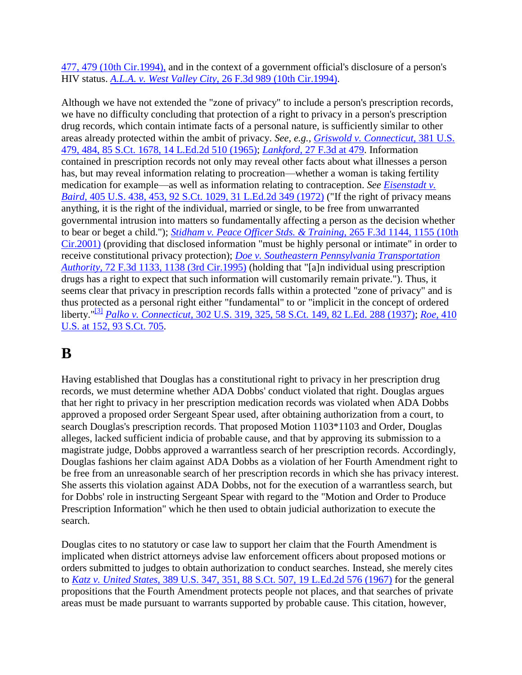477, 479 (10th Cir.1994), and in the context of a government official's disclosure of a person's HIV status. *A.L.A. v. West Valley City,* [26 F.3d 989 \(10th Cir.1994\).](http://scholar.google.co.in/scholar_case?case=3274201201416321623&q=douglas+v.+dobbs&hl=en&as_sdt=2,5&scilh=0)

Although we have not extended the "zone of privacy" to include a person's prescription records, we have no difficulty concluding that protection of a right to privacy in a person's prescription drug records, which contain intimate facts of a personal nature, is sufficiently similar to other areas already protected within the ambit of privacy. *See, e.g., [Griswold v. Connecticut,](http://scholar.google.co.in/scholar_case?case=12276922145000050979&q=douglas+v.+dobbs&hl=en&as_sdt=2,5&scilh=0)* 381 U.S. [479, 484, 85 S.Ct. 1678, 14 L.Ed.2d 510 \(1965\);](http://scholar.google.co.in/scholar_case?case=12276922145000050979&q=douglas+v.+dobbs&hl=en&as_sdt=2,5&scilh=0) *Lankford,* [27 F.3d at 479.](http://scholar.google.co.in/scholar_case?case=1512270238611259491&q=douglas+v.+dobbs&hl=en&as_sdt=2,5&scilh=0) Information contained in prescription records not only may reveal other facts about what illnesses a person has, but may reveal information relating to procreation—whether a woman is taking fertility medication for example—as well as information relating to contraception. *See [Eisenstadt v.](http://scholar.google.co.in/scholar_case?case=14131534241682283357&q=douglas+v.+dobbs&hl=en&as_sdt=2,5&scilh=0)  Baird,* [405 U.S. 438, 453, 92 S.Ct. 1029, 31 L.Ed.2d 349 \(1972\)](http://scholar.google.co.in/scholar_case?case=14131534241682283357&q=douglas+v.+dobbs&hl=en&as_sdt=2,5&scilh=0) ("If the right of privacy means anything, it is the right of the individual, married or single, to be free from unwarranted governmental intrusion into matters so fundamentally affecting a person as the decision whether to bear or beget a child."); *[Stidham v. Peace Officer Stds. & Training,](http://scholar.google.co.in/scholar_case?case=1208743905481286946&q=douglas+v.+dobbs&hl=en&as_sdt=2,5&scilh=0)* 265 F.3d 1144, 1155 (10th [Cir.2001\)](http://scholar.google.co.in/scholar_case?case=1208743905481286946&q=douglas+v.+dobbs&hl=en&as_sdt=2,5&scilh=0) (providing that disclosed information "must be highly personal or intimate" in order to receive constitutional privacy protection); *[Doe v. Southeastern Pennsylvania Transportation](http://scholar.google.co.in/scholar_case?case=17589155420410349788&q=douglas+v.+dobbs&hl=en&as_sdt=2,5&scilh=0)  Authority,* [72 F.3d 1133, 1138 \(3rd Cir.1995\)](http://scholar.google.co.in/scholar_case?case=17589155420410349788&q=douglas+v.+dobbs&hl=en&as_sdt=2,5&scilh=0) (holding that "[a]n individual using prescription drugs has a right to expect that such information will customarily remain private."). Thus, it seems clear that privacy in prescription records falls within a protected "zone of privacy" and is thus protected as a personal right either "fundamental" to or "implicit in the concept of ordered liberty."[\[3\]](http://scholar.google.co.in/scholar_case?q=douglas+v.+dobbs&hl=en&as_sdt=2,5&case=3645778260292785537&scilh=0#[4]) *Palko v. Connecticut,* [302 U.S. 319, 325, 58 S.Ct. 149, 82 L.Ed. 288 \(1937\);](http://scholar.google.co.in/scholar_case?case=12321164045846135407&q=douglas+v.+dobbs&hl=en&as_sdt=2,5&scilh=0) *[Roe,](http://scholar.google.co.in/scholar_case?case=12334123945835207673&q=douglas+v.+dobbs&hl=en&as_sdt=2,5&scilh=0)* 410 [U.S. at 152, 93 S.Ct. 705.](http://scholar.google.co.in/scholar_case?case=12334123945835207673&q=douglas+v.+dobbs&hl=en&as_sdt=2,5&scilh=0)

# **B**

Having established that Douglas has a constitutional right to privacy in her prescription drug records, we must determine whether ADA Dobbs' conduct violated that right. Douglas argues that her right to privacy in her prescription medication records was violated when ADA Dobbs approved a proposed order Sergeant Spear used, after obtaining authorization from a court, to search Douglas's prescription records. That proposed Motion 1103\*1103 and Order, Douglas alleges, lacked sufficient indicia of probable cause, and that by approving its submission to a magistrate judge, Dobbs approved a warrantless search of her prescription records. Accordingly, Douglas fashions her claim against ADA Dobbs as a violation of her Fourth Amendment right to be free from an unreasonable search of her prescription records in which she has privacy interest. She asserts this violation against ADA Dobbs, not for the execution of a warrantless search, but for Dobbs' role in instructing Sergeant Spear with regard to the "Motion and Order to Produce Prescription Information" which he then used to obtain judicial authorization to execute the search.

Douglas cites to no statutory or case law to support her claim that the Fourth Amendment is implicated when district attorneys advise law enforcement officers about proposed motions or orders submitted to judges to obtain authorization to conduct searches. Instead, she merely cites to *Katz v. United States,* [389 U.S. 347, 351, 88 S.Ct. 507, 19 L.Ed.2d 576 \(1967\)](http://scholar.google.co.in/scholar_case?case=9210492700696416594&q=douglas+v.+dobbs&hl=en&as_sdt=2,5&scilh=0) for the general propositions that the Fourth Amendment protects people not places, and that searches of private areas must be made pursuant to warrants supported by probable cause. This citation, however,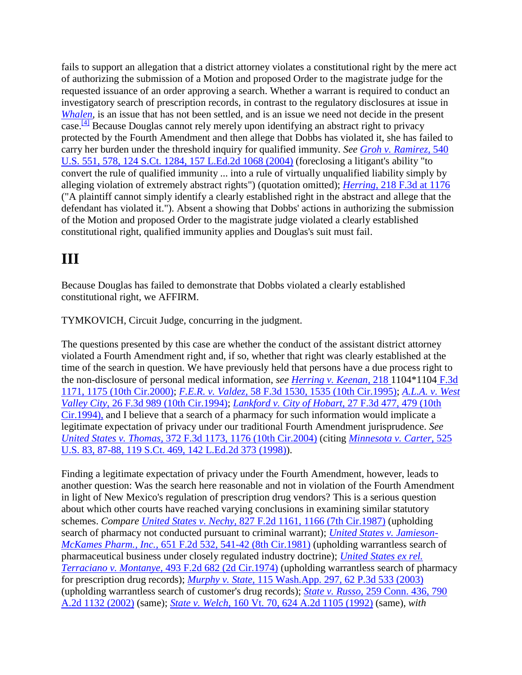fails to support an allegation that a district attorney violates a constitutional right by the mere act of authorizing the submission of a Motion and proposed Order to the magistrate judge for the requested issuance of an order approving a search. Whether a warrant is required to conduct an investigatory search of prescription records, in contrast to the regulatory disclosures at issue in *Whalen*, is an issue that has not been settled, and is an issue we need not decide in the present case.<sup>[\[4\]](http://scholar.google.co.in/scholar_case?q=douglas+v.+dobbs&hl=en&as_sdt=2,5&case=3645778260292785537&scilh=0#[5])</sup> Because Douglas cannot rely merely upon identifying an abstract right to privacy protected by the Fourth Amendment and then allege that Dobbs has violated it, she has failed to carry her burden under the threshold inquiry for qualified immunity. *See [Groh v. Ramirez,](http://scholar.google.co.in/scholar_case?case=7014218382835652562&q=douglas+v.+dobbs&hl=en&as_sdt=2,5&scilh=0)* 540 [U.S. 551, 578, 124 S.Ct. 1284, 157 L.Ed.2d 1068 \(2004\)](http://scholar.google.co.in/scholar_case?case=7014218382835652562&q=douglas+v.+dobbs&hl=en&as_sdt=2,5&scilh=0) (foreclosing a litigant's ability "to convert the rule of qualified immunity ... into a rule of virtually unqualified liability simply by alleging violation of extremely abstract rights") (quotation omitted); *Herring,* [218 F.3d at 1176](http://scholar.google.co.in/scholar_case?case=3735631482981241601&q=douglas+v.+dobbs&hl=en&as_sdt=2,5&scilh=0) ("A plaintiff cannot simply identify a clearly established right in the abstract and allege that the defendant has violated it."). Absent a showing that Dobbs' actions in authorizing the submission of the Motion and proposed Order to the magistrate judge violated a clearly established constitutional right, qualified immunity applies and Douglas's suit must fail.

## **III**

Because Douglas has failed to demonstrate that Dobbs violated a clearly established constitutional right, we AFFIRM.

TYMKOVICH, Circuit Judge, concurring in the judgment.

The questions presented by this case are whether the conduct of the assistant district attorney violated a Fourth Amendment right and, if so, whether that right was clearly established at the time of the search in question. We have previously held that persons have a due process right to the non-disclosure of personal medical information, *see [Herring v. Keenan,](http://scholar.google.co.in/scholar_case?case=3735631482981241601&q=douglas+v.+dobbs&hl=en&as_sdt=2,5&scilh=0)* 218 1104\*1104 [F.3d](http://scholar.google.co.in/scholar_case?case=3735631482981241601&q=douglas+v.+dobbs&hl=en&as_sdt=2,5&scilh=0)  [1171, 1175 \(10th Cir.2000\);](http://scholar.google.co.in/scholar_case?case=3735631482981241601&q=douglas+v.+dobbs&hl=en&as_sdt=2,5&scilh=0) *F.E.R. v. Valdez,* [58 F.3d 1530, 1535 \(10th Cir.1995\);](http://scholar.google.co.in/scholar_case?case=3730966289905201575&q=douglas+v.+dobbs&hl=en&as_sdt=2,5&scilh=0) *[A.L.A. v. West](http://scholar.google.co.in/scholar_case?case=3274201201416321623&q=douglas+v.+dobbs&hl=en&as_sdt=2,5&scilh=0)  Valley City,* [26 F.3d 989 \(10th Cir.1994\);](http://scholar.google.co.in/scholar_case?case=3274201201416321623&q=douglas+v.+dobbs&hl=en&as_sdt=2,5&scilh=0) *[Lankford v. City of Hobart,](http://scholar.google.co.in/scholar_case?case=1512270238611259491&q=douglas+v.+dobbs&hl=en&as_sdt=2,5&scilh=0)* 27 F.3d 477, 479 (10th [Cir.1994\),](http://scholar.google.co.in/scholar_case?case=1512270238611259491&q=douglas+v.+dobbs&hl=en&as_sdt=2,5&scilh=0) and I believe that a search of a pharmacy for such information would implicate a legitimate expectation of privacy under our traditional Fourth Amendment jurisprudence. *See United States v. Thomas,* [372 F.3d 1173, 1176 \(10th Cir.2004\)](http://scholar.google.co.in/scholar_case?case=8923943346775557365&q=douglas+v.+dobbs&hl=en&as_sdt=2,5&scilh=0) (citing *[Minnesota v. Carter,](http://scholar.google.co.in/scholar_case?case=12808313816999818968&q=douglas+v.+dobbs&hl=en&as_sdt=2,5&scilh=0)* 525 [U.S. 83, 87-88, 119 S.Ct. 469, 142 L.Ed.2d 373 \(1998\)\)](http://scholar.google.co.in/scholar_case?case=12808313816999818968&q=douglas+v.+dobbs&hl=en&as_sdt=2,5&scilh=0).

Finding a legitimate expectation of privacy under the Fourth Amendment, however, leads to another question: Was the search here reasonable and not in violation of the Fourth Amendment in light of New Mexico's regulation of prescription drug vendors? This is a serious question about which other courts have reached varying conclusions in examining similar statutory schemes. *Compare United States v. Nechy,* [827 F.2d 1161, 1166 \(7th Cir.1987\)](http://scholar.google.co.in/scholar_case?case=7200113089322261766&q=douglas+v.+dobbs&hl=en&as_sdt=2,5&scilh=0) (upholding search of pharmacy not conducted pursuant to criminal warrant); *[United States v. Jamieson-](http://scholar.google.co.in/scholar_case?case=15110572351386906428&q=douglas+v.+dobbs&hl=en&as_sdt=2,5&scilh=0)McKames Pharm., Inc.,* [651 F.2d 532, 541-42 \(8th Cir.1981\)](http://scholar.google.co.in/scholar_case?case=15110572351386906428&q=douglas+v.+dobbs&hl=en&as_sdt=2,5&scilh=0) (upholding warrantless search of pharmaceutical business under closely regulated industry doctrine); *[United States ex rel.](http://scholar.google.co.in/scholar_case?case=7893902624369176061&q=douglas+v.+dobbs&hl=en&as_sdt=2,5&scilh=0)  Terraciano v. Montanye,* [493 F.2d 682 \(2d Cir.1974\)](http://scholar.google.co.in/scholar_case?case=7893902624369176061&q=douglas+v.+dobbs&hl=en&as_sdt=2,5&scilh=0) (upholding warrantless search of pharmacy for prescription drug records); *Murphy v. State,* [115 Wash.App. 297, 62 P.3d 533 \(2003\)](http://scholar.google.co.in/scholar_case?case=6236646130775943266&q=douglas+v.+dobbs&hl=en&as_sdt=2,5&scilh=0) (upholding warrantless search of customer's drug records); *State v. Russo,* [259 Conn. 436, 790](http://scholar.google.co.in/scholar_case?case=12324179943218364262&q=douglas+v.+dobbs&hl=en&as_sdt=2,5&scilh=0)  [A.2d 1132 \(2002\)](http://scholar.google.co.in/scholar_case?case=12324179943218364262&q=douglas+v.+dobbs&hl=en&as_sdt=2,5&scilh=0) (same); *State v. Welch,* [160 Vt. 70, 624 A.2d 1105 \(1992\)](http://scholar.google.co.in/scholar_case?case=4001342888411529935&q=douglas+v.+dobbs&hl=en&as_sdt=2,5&scilh=0) (same), *with*